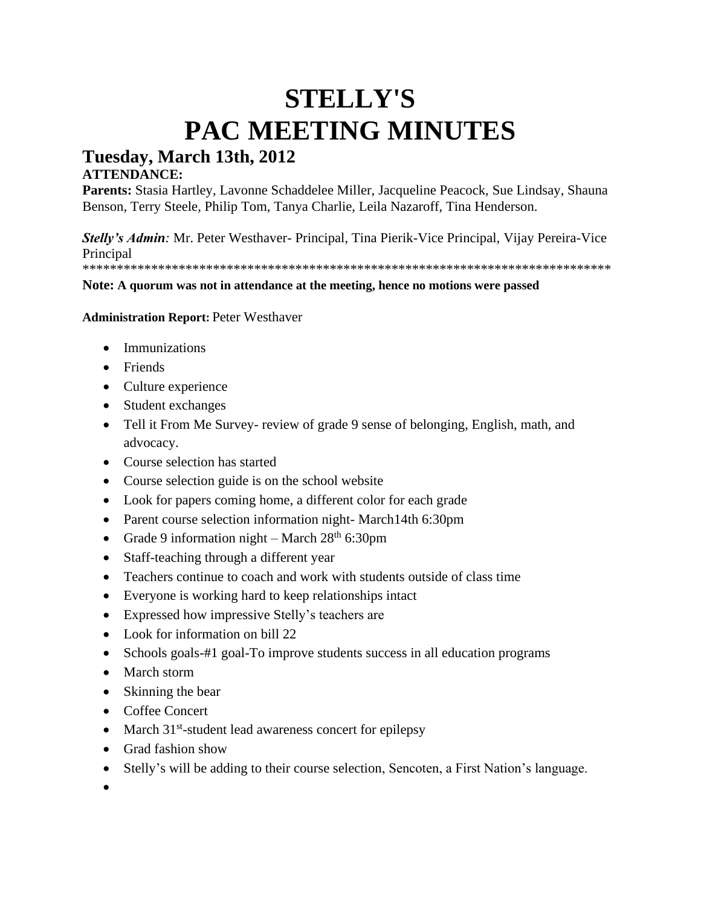# **STELLY'S PAC MEETING MINUTES**

# **Tuesday, March 13th, 2012**

# **ATTENDANCE:**

**Parents:** Stasia Hartley, Lavonne Schaddelee Miller, Jacqueline Peacock, Sue Lindsay, Shauna Benson, Terry Steele, Philip Tom, Tanya Charlie, Leila Nazaroff, Tina Henderson.

*Stelly's Admin:* Mr. Peter Westhaver- Principal, Tina Pierik-Vice Principal, Vijay Pereira-Vice **Principal** 

\*\*\*\*\*\*\*\*\*\*\*\*\*\*\*\*\*\*\*\*\*\*\*\*\*\*\*\*\*\*\*\*\*\*\*\*\*\*\*\*\*\*\*\*\*\*\*\*\*\*\*\*\*\*\*\*\*\*\*\*\*\*\*\*\*\*\*\*\*\*\*\*\*\*\*\*\*

#### **Note: A quorum was not in attendance at the meeting, hence no motions were passed**

**Administration Report:** Peter Westhaver

- Immunizations
- Friends
- Culture experience
- Student exchanges
- Tell it From Me Survey- review of grade 9 sense of belonging, English, math, and advocacy.
- Course selection has started
- Course selection guide is on the school website
- Look for papers coming home, a different color for each grade
- Parent course selection information night- March14th 6:30pm
- Grade 9 information night March  $28<sup>th</sup>$  6:30pm
- Staff-teaching through a different year
- Teachers continue to coach and work with students outside of class time
- Everyone is working hard to keep relationships intact
- Expressed how impressive Stelly's teachers are
- Look for information on bill 22
- Schools goals-#1 goal-To improve students success in all education programs
- March storm
- Skinning the bear
- Coffee Concert
- March 31<sup>st</sup>-student lead awareness concert for epilepsy
- Grad fashion show
- Stelly's will be adding to their course selection, Sencoten, a First Nation's language.
- •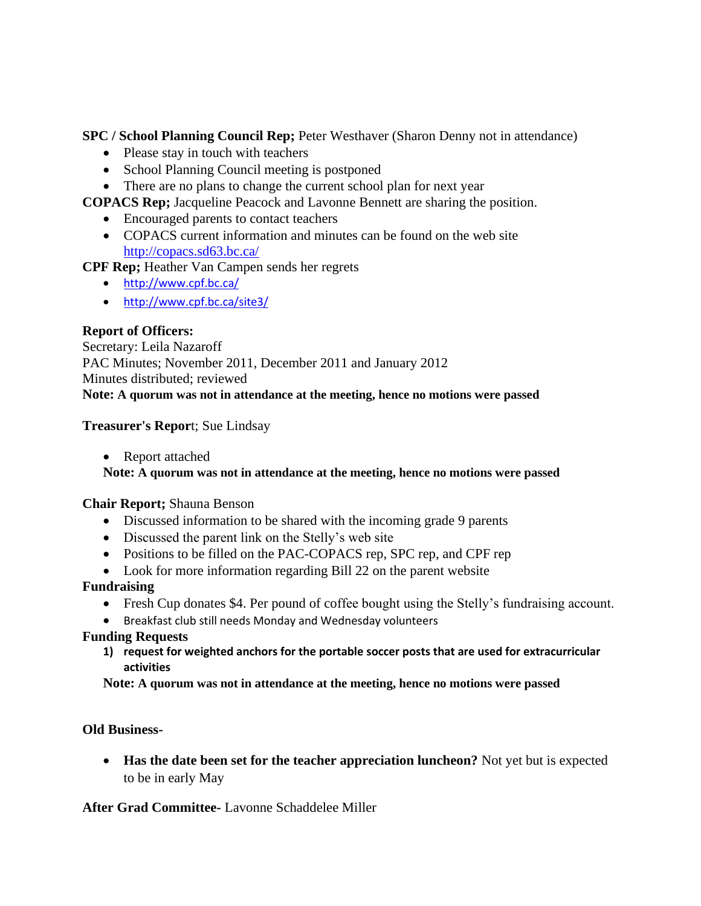**SPC / School Planning Council Rep;** Peter Westhaver (Sharon Denny not in attendance)

- Please stay in touch with teachers
- School Planning Council meeting is postponed
- There are no plans to change the current school plan for next year

**COPACS Rep;** Jacqueline Peacock and Lavonne Bennett are sharing the position.

- Encouraged parents to contact teachers
- COPACS current information and minutes can be found on the web site <http://copacs.sd63.bc.ca/>

**CPF Rep;** Heather Van Campen sends her regrets

- <http://www.cpf.bc.ca/>
- <http://www.cpf.bc.ca/site3/>

# **Report of Officers:**

Secretary: Leila Nazaroff PAC Minutes; November 2011, December 2011 and January 2012 Minutes distributed; reviewed **Note: A quorum was not in attendance at the meeting, hence no motions were passed**

#### **Treasurer's Repor**t; Sue Lindsay

• Report attached

#### **Note: A quorum was not in attendance at the meeting, hence no motions were passed**

#### **Chair Report;** Shauna Benson

- Discussed information to be shared with the incoming grade 9 parents
- Discussed the parent link on the Stelly's web site
- Positions to be filled on the PAC-COPACS rep, SPC rep, and CPF rep
- Look for more information regarding Bill 22 on the parent website

# **Fundraising**

- Fresh Cup donates \$4. Per pound of coffee bought using the Stelly's fundraising account.
- Breakfast club still needs Monday and Wednesday volunteers

# **Funding Requests**

**1) request for weighted anchors for the portable soccer posts that are used for extracurricular activities**

**Note: A quorum was not in attendance at the meeting, hence no motions were passed**

# **Old Business-**

• **Has the date been set for the teacher appreciation luncheon?** Not yet but is expected to be in early May

# **After Grad Committee-** Lavonne Schaddelee Miller